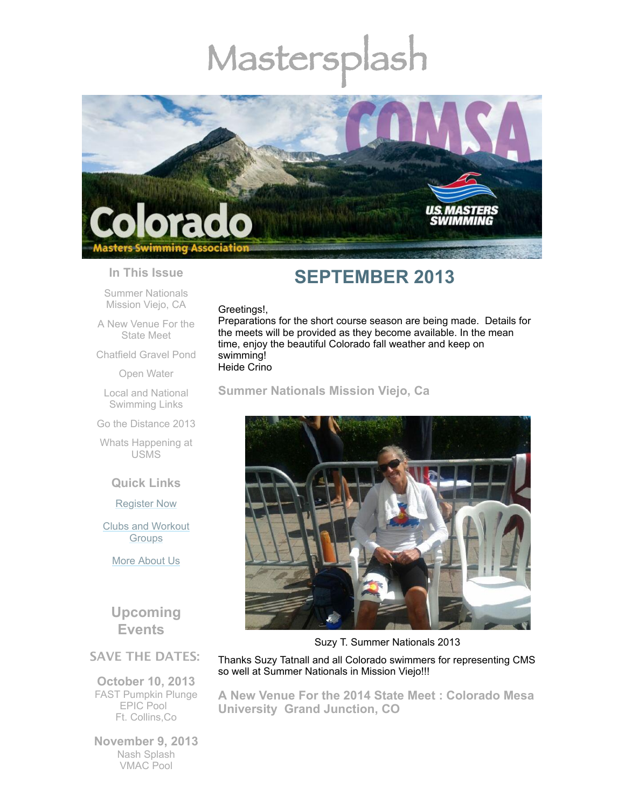# Mastersplash



## **In This Issue**

Summer [Nationals](#page-0-0) Mission Viejo, CA

A New [Venue](#page-0-1) For the State Meet

[Chatfield](#page-2-0) Gravel Pond

Open [Water](#page-2-1)

Local and National [Swimming](#page-2-2) Links

Go the [Distance](#page-2-3) 2013

Whats [Happening](#page-3-0) at USMS

**Quick Links**

[Register](http://comsa.org/joining/index.html) Now

Clubs and [Workout](http://comsa.org/clubs/index.html) **Groups** 

More [About](http://comsa.org/) Us

**Upcoming Events**

## **SAVE THE DATES:**

**October 10, 2013** FAST Pumpkin Plunge EPIC Pool Ft. Collins,Co

**November 9, 2013** Nash Splash VMAC Pool

# **SEPTEMBER 2013**

### Greetings!,

Preparations for the short course season are being made. Details for the meets will be provided as they become available. In the mean time, enjoy the beautiful Colorado fall weather and keep on swimming! Heide Crino

<span id="page-0-0"></span>**Summer Nationals Mission Viejo, Ca**



Suzy T. Summer Nationals 2013

Thanks Suzy Tatnall and all Colorado swimmers for representing CMS so well at Summer Nationals in Mission Viejo!!!

<span id="page-0-1"></span>**A New Venue For the 2014 State Meet : Colorado Mesa University Grand Junction, CO**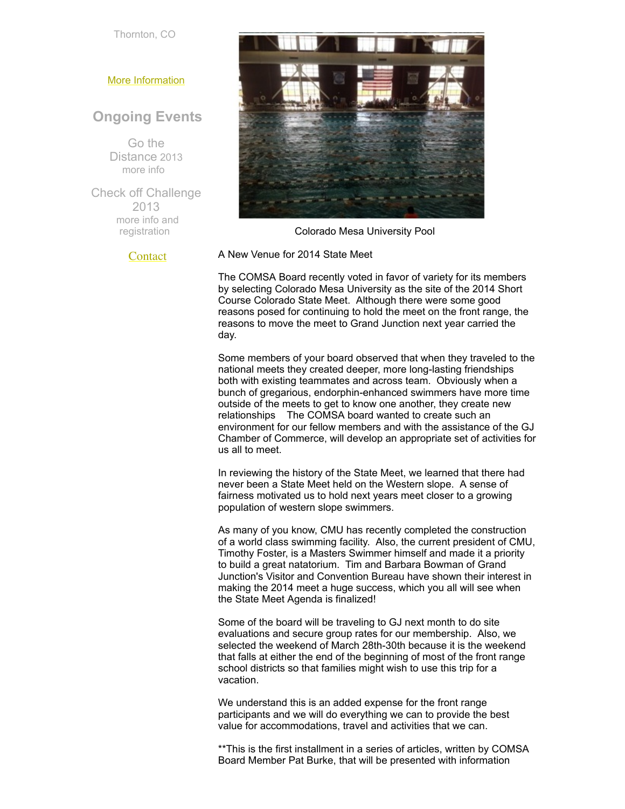Thornton, CO

#### More [Information](http://www.comsa.org/)

## **Ongoing Events**

Go the Distance 2013 [more](http://www.usms.org/fitness/content/gothedistance) info

Check off Challenge 2013 more info and [registration](http://www.usms.org/fitness/content/checkoff)

**[Contact](mailto:heidecrino@gmail.com?)** 



Colorado Mesa University Pool

A New Venue for 2014 State Meet

The COMSA Board recently voted in favor of variety for its members by selecting Colorado Mesa University as the site of the 2014 Short Course Colorado State Meet. Although there were some good reasons posed for continuing to hold the meet on the front range, the reasons to move the meet to Grand Junction next year carried the day.

Some members of your board observed that when they traveled to the national meets they created deeper, more long-lasting friendships both with existing teammates and across team. Obviously when a bunch of gregarious, endorphin-enhanced swimmers have more time outside of the meets to get to know one another, they create new relationships The COMSA board wanted to create such an environment for our fellow members and with the assistance of the GJ Chamber of Commerce, will develop an appropriate set of activities for us all to meet.

In reviewing the history of the State Meet, we learned that there had never been a State Meet held on the Western slope. A sense of fairness motivated us to hold next years meet closer to a growing population of western slope swimmers.

As many of you know, CMU has recently completed the construction of a world class swimming facility. Also, the current president of CMU, Timothy Foster, is a Masters Swimmer himself and made it a priority to build a great natatorium. Tim and Barbara Bowman of Grand Junction's Visitor and Convention Bureau have shown their interest in making the 2014 meet a huge success, which you all will see when the State Meet Agenda is finalized!

Some of the board will be traveling to GJ next month to do site evaluations and secure group rates for our membership. Also, we selected the weekend of March 28th-30th because it is the weekend that falls at either the end of the beginning of most of the front range school districts so that families might wish to use this trip for a vacation.

We understand this is an added expense for the front range participants and we will do everything we can to provide the best value for accommodations, travel and activities that we can.

\*\*This is the first installment in a series of articles, written by COMSA Board Member Pat Burke, that will be presented with information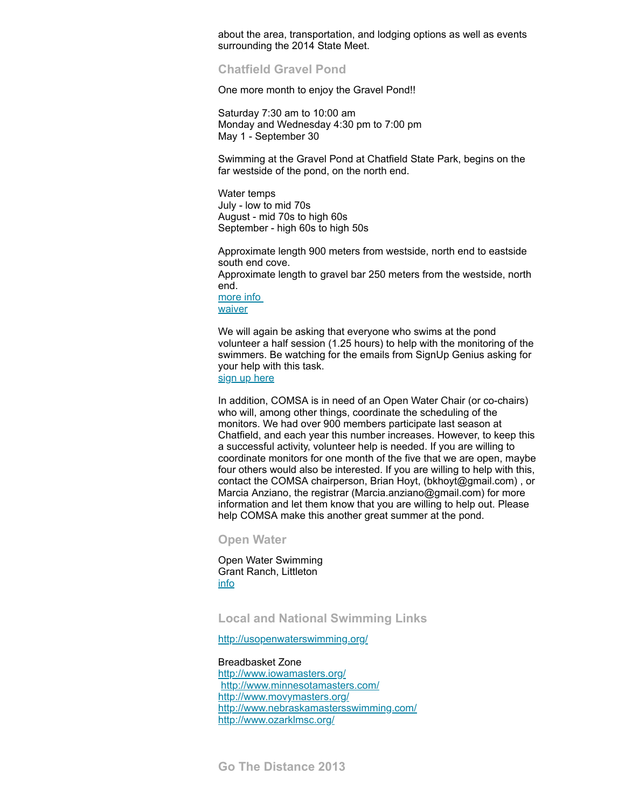about the area, transportation, and lodging options as well as events surrounding the 2014 State Meet.

<span id="page-2-0"></span>**Chatfield Gravel Pond** 

One more month to enjoy the Gravel Pond!!

Saturday 7:30 am to 10:00 am Monday and Wednesday 4:30 pm to 7:00 pm May 1 - September 30

Swimming at the Gravel Pond at Chatfield State Park, begins on the far westside of the pond, on the north end.

Water temps July - low to mid 70s August - mid 70s to high 60s September - high 60s to high 50s

Approximate length 900 meters from westside, north end to eastside south end cove.

Approximate length to gravel bar 250 meters from the westside, north end.

[more](http://www.comsa.org/openwater.html) info **[waiver](http://www.comsa.org/events/2013%20openwater/2013%20Chatfield%20Waiver%20Paper.pdf)** 

We will again be asking that everyone who swims at the pond volunteer a half session (1.25 hours) to help with the monitoring of the swimmers. Be watching for the emails from SignUp Genius asking for your help with this task.

sign up [here](http://www.signupgenius.com/go/20F044AACAE2BA20-monitors9)

In addition, COMSA is in need of an Open Water Chair (or co-chairs) who will, among other things, coordinate the scheduling of the monitors. We had over 900 members participate last season at Chatfield, and each year this number increases. However, to keep this a successful activity, volunteer help is needed. If you are willing to coordinate monitors for one month of the five that we are open, maybe four others would also be interested. If you are willing to help with this, contact the COMSA chairperson, Brian Hoyt, (bkhoyt@gmail.com) , or Marcia Anziano, the registrar (Marcia.anziano@gmail.com) for more information and let them know that you are willing to help out. Please help COMSA make this another great summer at the pond.

<span id="page-2-1"></span>**Open Water** 

Open Water Swimming Grant Ranch, Littleton [info](http://www.milehighmultisport.com/open-water-swimming/about/)

<span id="page-2-2"></span>**Local and National Swimming Links**

<http://usopenwaterswimming.org/>

<span id="page-2-3"></span>Breadbasket Zone <http://www.iowamasters.org/> <http://www.minnesotamasters.com/> <http://www.movymasters.org/> <http://www.nebraskamastersswimming.com/> <http://www.ozarklmsc.org/>